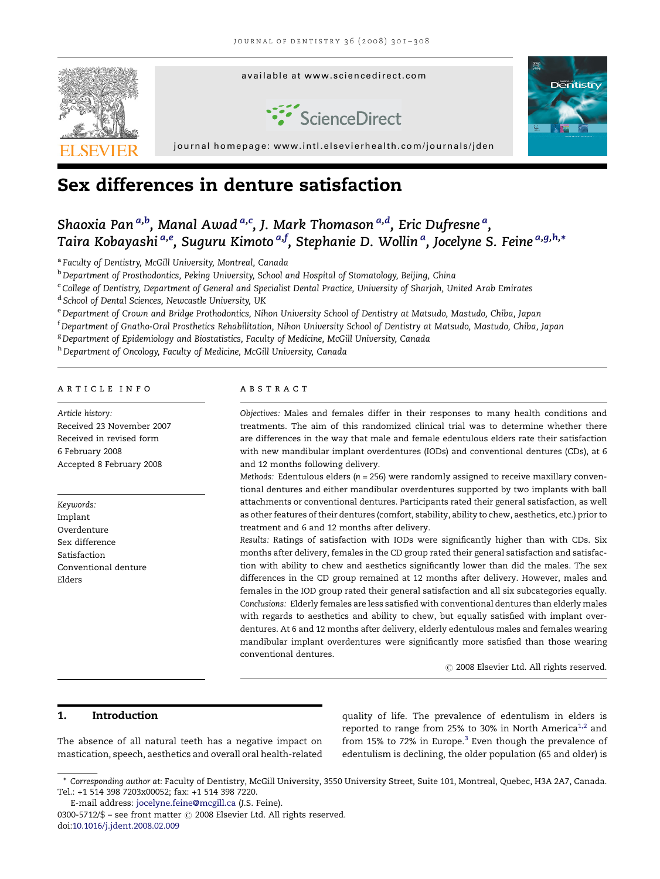

# Sex differences in denture satisfaction

# Shaoxia Pan<sup>a,b</sup>, Manal Awad<sup>a,c</sup>, J. Mark Thomason<sup>a,d</sup>, Eric Dufresne<sup>a</sup>, Taira Kobayashi <sup>a,e</sup>, Suguru Kimoto <sup>a,f</sup>, Stephanie D. Wollin <sup>a</sup>, Jocelyne S. Feine <sup>a,g,h,</sup>\*

a Faculty of Dentistry, McGill University, Montreal, Canada

<sup>b</sup> Department of Prosthodontics, Peking University, School and Hospital of Stomatology, Beijing, China

<sup>c</sup>College of Dentistry, Department of General and Specialist Dental Practice, University of Sharjah, United Arab Emirates

<sup>d</sup> School of Dental Sciences, Newcastle University, UK

<sup>e</sup> Department of Crown and Bridge Prothodontics, Nihon University School of Dentistry at Matsudo, Mastudo, Chiba, Japan

f Department of Gnatho-Oral Prosthetics Rehabilitation, Nihon University School of Dentistry at Matsudo, Mastudo, Chiba, Japan

<sup>g</sup> Department of Epidemiology and Biostatistics, Faculty of Medicine, McGill University, Canada

h Department of Oncology, Faculty of Medicine, McGill University, Canada

## article info

Article history: Received 23 November 2007 Received in revised form 6 February 2008 Accepted 8 February 2008

Keywords: Implant Overdenture Sex difference Satisfaction Conventional denture Elders

#### **ABSTRACT**

Objectives: Males and females differ in their responses to many health conditions and treatments. The aim of this randomized clinical trial was to determine whether there are differences in the way that male and female edentulous elders rate their satisfaction with new mandibular implant overdentures (IODs) and conventional dentures (CDs), at 6 and 12 months following delivery.

Methods: Edentulous elders ( $n = 256$ ) were randomly assigned to receive maxillary conventional dentures and either mandibular overdentures supported by two implants with ball attachments or conventional dentures. Participants rated their general satisfaction, as well as other features of their dentures (comfort, stability, ability to chew, aesthetics, etc.) prior to treatment and 6 and 12 months after delivery.

Results: Ratings of satisfaction with IODs were significantly higher than with CDs. Six months after delivery, females in the CD group rated their general satisfaction and satisfaction with ability to chew and aesthetics significantly lower than did the males. The sex differences in the CD group remained at 12 months after delivery. However, males and females in the IOD group rated their general satisfaction and all six subcategories equally. Conclusions: Elderly females are less satisfied with conventional dentures than elderly males with regards to aesthetics and ability to chew, but equally satisfied with implant overdentures. At 6 and 12 months after delivery, elderly edentulous males and females wearing mandibular implant overdentures were significantly more satisfied than those wearing conventional dentures.

 $\odot$  2008 Elsevier Ltd. All rights reserved.

# 1. Introduction

The absence of all natural teeth has a negative impact on mastication, speech, aesthetics and overall oral health-related quality of life. The prevalence of edentulism in elders is reported to range from 25% to 30% in North America<sup>[1,2](#page-6-0)</sup> and from 15% to 72% in Europe. $3$  Even though the prevalence of edentulism is declining, the older population (65 and older) is

<sup>\*</sup> Corresponding author at: Faculty of Dentistry, McGill University, 3550 University Street, Suite 101, Montreal, Quebec, H3A 2A7, Canada. Tel.: +1 514 398 7203x00052; fax: +1 514 398 7220.

E-mail address: [jocelyne.feine@mcgill.ca](mailto:jocelyne.feine@mcgill.ca) (J.S. Feine).

<sup>0300-5712/\$ –</sup> see front matter  $\odot$  2008 Elsevier Ltd. All rights reserved. doi[:10.1016/j.jdent.2008.02.009](http://dx.doi.org/10.1016/j.jdent.2008.02.009)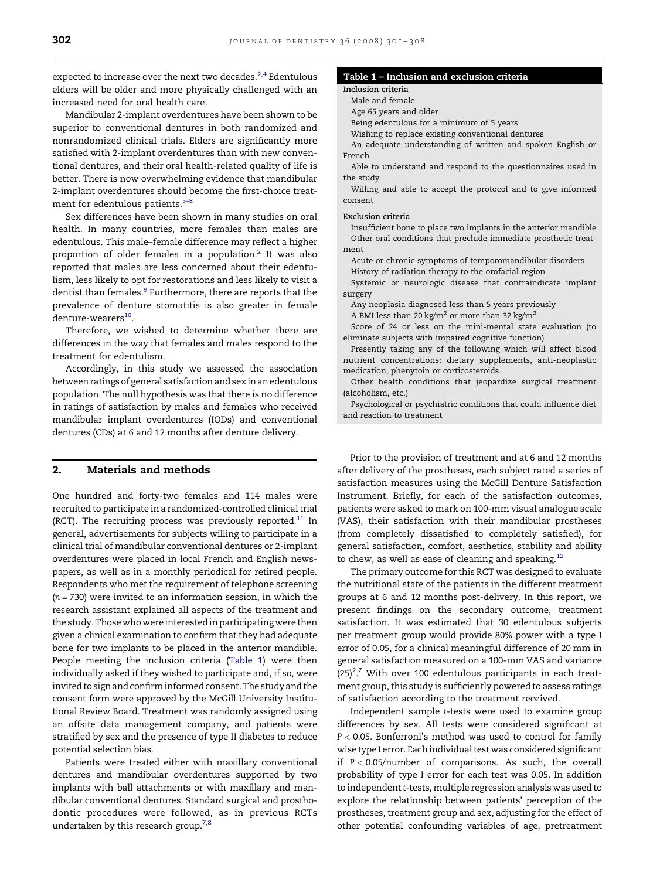expected to increase over the next two decades.<sup>[2,4](#page-6-0)</sup> Edentulous elders will be older and more physically challenged with an increased need for oral health care.

Mandibular 2-implant overdentures have been shown to be superior to conventional dentures in both randomized and nonrandomized clinical trials. Elders are significantly more satisfied with 2-implant overdentures than with new conventional dentures, and their oral health-related quality of life is better. There is now overwhelming evidence that mandibular 2-implant overdentures should become the first-choice treatment for edentulous patients.<sup>5-8</sup>

Sex differences have been shown in many studies on oral health. In many countries, more females than males are edentulous. This male–female difference may reflect a higher proportion of older females in a population. $2$  It was also reported that males are less concerned about their edentulism, less likely to opt for restorations and less likely to visit a dentist than females.<sup>[9](#page-6-0)</sup> Furthermore, there are reports that the prevalence of denture stomatitis is also greater in female denture-wearers<sup>10</sup>.

Therefore, we wished to determine whether there are differences in the way that females and males respond to the treatment for edentulism.

Accordingly, in this study we assessed the association between ratings of general satisfaction and sex in an edentulous population. The null hypothesis was that there is no difference in ratings of satisfaction by males and females who received mandibular implant overdentures (IODs) and conventional dentures (CDs) at 6 and 12 months after denture delivery.

# 2. Materials and methods

One hundred and forty-two females and 114 males were recruited to participate in a randomized-controlled clinical trial (RCT). The recruiting process was previously reported. $^{11}$  $^{11}$  $^{11}$  In general, advertisements for subjects willing to participate in a clinical trial of mandibular conventional dentures or 2-implant overdentures were placed in local French and English newspapers, as well as in a monthly periodical for retired people. Respondents who met the requirement of telephone screening  $(n = 730)$  were invited to an information session, in which the research assistant explained all aspects of the treatment and the study. Thosewho were interested in participatingwere then given a clinical examination to confirm that they had adequate bone for two implants to be placed in the anterior mandible. People meeting the inclusion criteria (Table 1) were then individually asked if they wished to participate and, if so, were invited to sign and confirm informed consent. The study and the consent form were approved by the McGill University Institutional Review Board. Treatment was randomly assigned using an offsite data management company, and patients were stratified by sex and the presence of type II diabetes to reduce potential selection bias.

Patients were treated either with maxillary conventional dentures and mandibular overdentures supported by two implants with ball attachments or with maxillary and mandibular conventional dentures. Standard surgical and prosthodontic procedures were followed, as in previous RCTs undertaken by this research group. $7,8$ 

# Table 1 – Inclusion and exclusion criteria

Inclusion criteria

Male and female

Age 65 years and older

Being edentulous for a minimum of 5 years

Wishing to replace existing conventional dentures

An adequate understanding of written and spoken English or French

Able to understand and respond to the questionnaires used in the study

Willing and able to accept the protocol and to give informed consent

#### Exclusion criteria

Insufficient bone to place two implants in the anterior mandible Other oral conditions that preclude immediate prosthetic treatment

Acute or chronic symptoms of temporomandibular disorders History of radiation therapy to the orofacial region

Systemic or neurologic disease that contraindicate implant surgery

Any neoplasia diagnosed less than 5 years previously

A BMI less than 20 kg/m<sup>2</sup> or more than 32 kg/m<sup>2</sup>

Score of 24 or less on the mini-mental state evaluation (to eliminate subjects with impaired cognitive function)

Presently taking any of the following which will affect blood nutrient concentrations: dietary supplements, anti-neoplastic medication, phenytoin or corticosteroids

Other health conditions that jeopardize surgical treatment (alcoholism, etc.)

Psychological or psychiatric conditions that could influence diet and reaction to treatment

Prior to the provision of treatment and at 6 and 12 months after delivery of the prostheses, each subject rated a series of satisfaction measures using the McGill Denture Satisfaction Instrument. Briefly, for each of the satisfaction outcomes, patients were asked to mark on 100-mm visual analogue scale (VAS), their satisfaction with their mandibular prostheses (from completely dissatisfied to completely satisfied), for general satisfaction, comfort, aesthetics, stability and ability to chew, as well as ease of cleaning and speaking.<sup>[12](#page-6-0)</sup>

The primary outcome for this RCT was designed to evaluate the nutritional state of the patients in the different treatment groups at 6 and 12 months post-delivery. In this report, we present findings on the secondary outcome, treatment satisfaction. It was estimated that 30 edentulous subjects per treatment group would provide 80% power with a type I error of 0.05, for a clinical meaningful difference of 20 mm in general satisfaction measured on a 100-mm VAS and variance  $(25)^{2.7}$  $(25)^{2.7}$  $(25)^{2.7}$  With over 100 edentulous participants in each treatment group, this study is sufficiently powered to assess ratings of satisfaction according to the treatment received.

Independent sample t-tests were used to examine group differences by sex. All tests were considered significant at P < 0.05. Bonferroni's method was used to control for family wise type I error. Each individual test was considered significant if  $P < 0.05/n$ umber of comparisons. As such, the overall probability of type I error for each test was 0.05. In addition to independentt-tests, multiple regression analysis was used to explore the relationship between patients' perception of the prostheses, treatment group and sex, adjusting for the effect of other potential confounding variables of age, pretreatment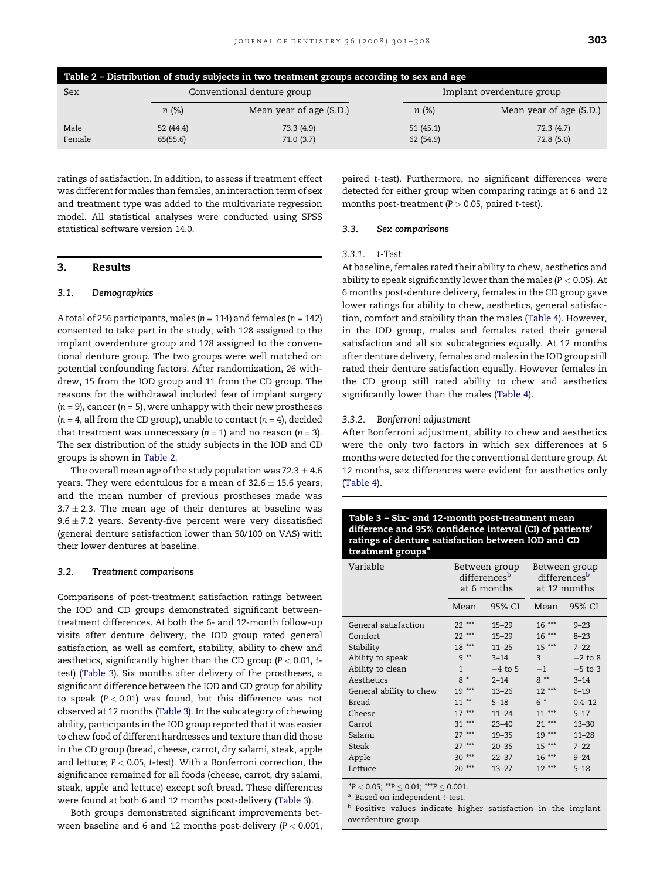| Table 2 - Distribution of study subjects in two treatment groups according to sex and age |                            |                         |           |                           |  |
|-------------------------------------------------------------------------------------------|----------------------------|-------------------------|-----------|---------------------------|--|
| Sex                                                                                       | Conventional denture group |                         |           | Implant overdenture group |  |
|                                                                                           | n(%)                       | Mean year of age (S.D.) | n(%)      | Mean year of age (S.D.)   |  |
| Male                                                                                      | 52 (44.4)                  | 73.3(4.9)               | 51(45.1)  | 72.3(4.7)                 |  |
| Female                                                                                    | 65(55.6)                   | 71.0(3.7)               | 62 (54.9) | 72.8(5.0)                 |  |

ratings of satisfaction. In addition, to assess if treatment effect was different for males than females, an interaction term of sex and treatment type was added to the multivariate regression model. All statistical analyses were conducted using SPSS statistical software version 14.0.

# 3. Results

#### 3.1. Demographics

A total of 256 participants, males ( $n = 114$ ) and females ( $n = 142$ ) consented to take part in the study, with 128 assigned to the implant overdenture group and 128 assigned to the conventional denture group. The two groups were well matched on potential confounding factors. After randomization, 26 withdrew, 15 from the IOD group and 11 from the CD group. The reasons for the withdrawal included fear of implant surgery  $(n = 9)$ , cancer  $(n = 5)$ , were unhappy with their new prostheses  $(n = 4,$  all from the CD group), unable to contact  $(n = 4)$ , decided that treatment was unnecessary ( $n = 1$ ) and no reason ( $n = 3$ ). The sex distribution of the study subjects in the IOD and CD groups is shown in Table 2.

The overall mean age of the study population was 72.3  $\pm$  4.6 years. They were edentulous for a mean of 32.6  $\pm$  15.6 years, and the mean number of previous prostheses made was 3.7  $\pm$  2.3. The mean age of their dentures at baseline was 9.6  $\pm$  7.2 years. Seventy-five percent were very dissatisfied (general denture satisfaction lower than 50/100 on VAS) with their lower dentures at baseline.

# 3.2. Treatment comparisons

Comparisons of post-treatment satisfaction ratings between the IOD and CD groups demonstrated significant betweentreatment differences. At both the 6- and 12-month follow-up visits after denture delivery, the IOD group rated general satisfaction, as well as comfort, stability, ability to chew and aesthetics, significantly higher than the CD group ( $P < 0.01$ , ttest) (Table 3). Six months after delivery of the prostheses, a significant difference between the IOD and CD group for ability to speak ( $P < 0.01$ ) was found, but this difference was not observed at 12 months (Table 3). In the subcategory of chewing ability, participants in the IOD group reported that it was easier to chew food of different hardnesses and texture than did those in the CD group (bread, cheese, carrot, dry salami, steak, apple and lettuce;  $P < 0.05$ , t-test). With a Bonferroni correction, the significance remained for all foods (cheese, carrot, dry salami, steak, apple and lettuce) except soft bread. These differences were found at both 6 and 12 months post-delivery (Table 3).

Both groups demonstrated significant improvements between baseline and 6 and 12 months post-delivery ( $P < 0.001$ , paired t-test). Furthermore, no significant differences were detected for either group when comparing ratings at 6 and 12 months post-treatment  $(P > 0.05$ , paired t-test).

## 3.3. Sex comparisons

#### 3.3.1. t-Test

At baseline, females rated their ability to chew, aesthetics and ability to speak significantly lower than the males ( $P < 0.05$ ). At 6 months post-denture delivery, females in the CD group gave lower ratings for ability to chew, aesthetics, general satisfaction, comfort and stability than the males [\(Table 4](#page-3-0)). However, in the IOD group, males and females rated their general satisfaction and all six subcategories equally. At 12 months after denture delivery, females and males in the IOD group still rated their denture satisfaction equally. However females in the CD group still rated ability to chew and aesthetics significantly lower than the males ([Table 4](#page-3-0)).

#### 3.3.2. Bonferroni adjustment

After Bonferroni adjustment, ability to chew and aesthetics were the only two factors in which sex differences at 6 months were detected for the conventional denture group. At 12 months, sex differences were evident for aesthetics only [\(Table 4](#page-3-0)).

# Table 3 – Six- and 12-month post-treatment mean difference and 95% confidence interval (CI) of patients' ratings of denture satisfaction between IOD and CD treatment groups<sup>a</sup>

| Variable                | Between group<br>differences <sup>b</sup><br>at 6 months |           | Between group<br>differences <sup>b</sup><br>at 12 months |            |
|-------------------------|----------------------------------------------------------|-----------|-----------------------------------------------------------|------------|
|                         | Mean                                                     | 95% CI    | Mean                                                      | 95% CI     |
| General satisfaction    | $22***$                                                  | $15 - 29$ | $16***$                                                   | $9 - 23$   |
| Comfort                 | $22***$                                                  | $15 - 29$ | $16***$                                                   | $8 - 23$   |
| Stability               | $18***$                                                  | $11 - 25$ | $15***$                                                   | $7 - 22$   |
| Ability to speak        | $9**$                                                    | $3 - 14$  | 3                                                         | $-2$ to 8  |
| Ability to clean        | $\mathbf{1}$                                             | $-4$ to 5 | $-1$                                                      | $-5$ to 3  |
| Aesthetics              | $8*$                                                     | $2 - 14$  | $8**$                                                     | $3 - 14$   |
| General ability to chew | $19***$                                                  | $13 - 26$ | $12***$                                                   | $6 - 19$   |
| Bread                   | $11**$                                                   | $5 - 18$  | $6*$                                                      | $0.4 - 12$ |
| Cheese                  | $17***$                                                  | $11 - 24$ | $11***$                                                   | $5 - 17$   |
| Carrot                  | $31***$                                                  | $23 - 40$ | $21***$                                                   | $13 - 30$  |
| Salami                  | $27***$                                                  | $19 - 35$ | $19***$                                                   | $11 - 28$  |
| Steak                   | $27***$                                                  | $20 - 35$ | $15***$                                                   | $7 - 22$   |
| Apple                   | $30***$                                                  | $22 - 37$ | $16***$                                                   | $9 - 24$   |
| Lettuce                 | $20***$                                                  | $13 - 27$ | $12***$                                                   | $5 - 18$   |

 $*P < 0.05$ ;  $*P \le 0.01$ ;  $**P \le 0.001$ .

Based on independent t-test.

**b** Positive values indicate higher satisfaction in the implant overdenture group.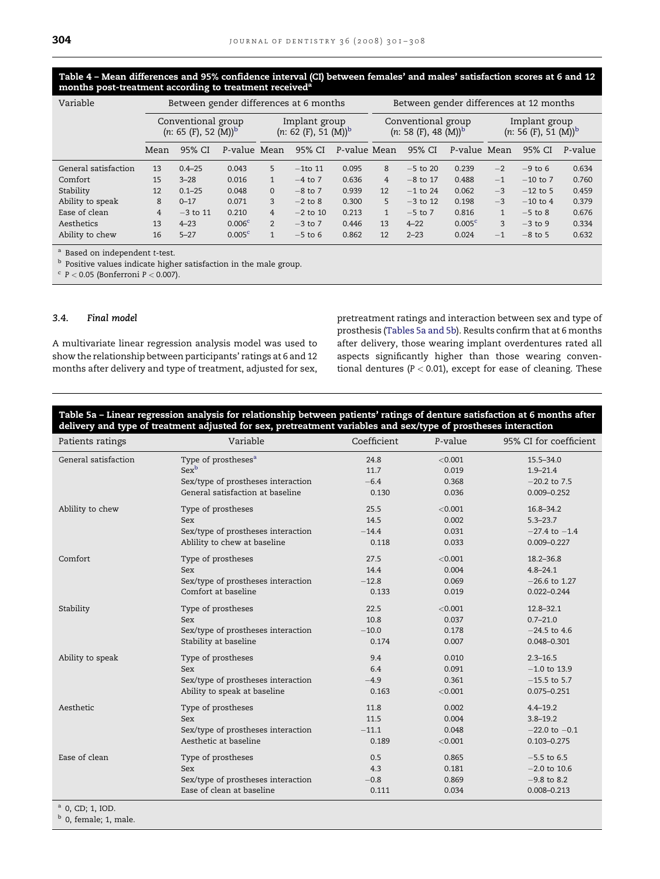<span id="page-3-0"></span>Table 4 – Mean differences and 95% confidence interval (CI) between females' and males' satisfaction scores at 6 and 12

months post-treatment according to treatment received<sup>6</sup> Variable Between gender differences at 6 months Between gender differences at 12 months Conventional group  $(n: 65$  (F), 52 (M))<sup>b</sup> Implant group  $(n: 62 \text{ (F)}, 51 \text{ (M)})^{\text{b}}$ Conventional group  $(n: 58$  (F), 48 (M))<sup>b</sup> Implant group  $(n: 56 (F), 51 (M))^b$ Mean 95% CI P-value Mean 95% CI P-value Mean 95% CI P-value Mean 95% CI P-value General satisfaction 13 0.4–25 0.043 5 —1to 11 0.095 8 —5 to 20 0.239 —2 —9 to 6 0.634 Comfort 15 3–28 0.016 1 4 to 7 0.636 4 8 to 17 0.488 1 10 to 7 0.760 Stability 12 0.1–25 0.048 0 –8 to 7 0.939 12 —1 to 24 0.062 –3 —12 to 5 0.459 Ability to speak 8 0–17 0.071 3 -2 to 8 0.300 5 -3 to 12 0.198 -3 -10 to 4 0.379 Ease of clean 4 3 to 11 0.210 4 2 to 10 0.213 1 5 to 7 0.816 1 5 to 8 0.676 Aesthetics 13 4–23  $0.006^{\circ}$  2 –3 to 7 0.446 13 4–22  $0.005^{\circ}$  3 –3 to 9 0.334

Ability to chew  $16$  5–27  $0.005^{\circ}$  1 –5 to 6 0.862 12 2–23 0.024 –1 –8 to 5 0.632

<sup>a</sup> Based on independent t-test.

**b** Positive values indicate higher satisfaction in the male group.

 $C_P < 0.05$  (Bonferroni  $P < 0.007$ ).

# 3.4. Final model

A multivariate linear regression analysis model was used to show the relationship between participants' ratings at 6 and 12 months after delivery and type of treatment, adjusted for sex,

pretreatment ratings and interaction between sex and type of prosthesis (Tables 5a and 5b). Results confirm that at 6 months after delivery, those wearing implant overdentures rated all aspects significantly higher than those wearing conventional dentures ( $P < 0.01$ ), except for ease of cleaning. These

# Table 5a – Linear regression analysis for relationship between patients' ratings of denture satisfaction at 6 months after delivery and type of treatment adjusted for sex, pretreatment variables and sex/type of prostheses interaction

| Patients ratings     | Variable                           | Coefficient | P-value | 95% CI for coefficient |
|----------------------|------------------------------------|-------------|---------|------------------------|
| General satisfaction | Type of prostheses <sup>a</sup>    | 24.8        | < 0.001 | 15.5-34.0              |
|                      | $Sex^b$                            | 11.7        | 0.019   | $1.9 - 21.4$           |
|                      | Sex/type of prostheses interaction | $-6.4$      | 0.368   | $-20.2$ to 7.5         |
|                      | General satisfaction at baseline   | 0.130       | 0.036   | $0.009 - 0.252$        |
| Ablility to chew     | Type of prostheses                 | 25.5        | < 0.001 | 16.8-34.2              |
|                      | Sex                                | 14.5        | 0.002   | $5.3 - 23.7$           |
|                      | Sex/type of prostheses interaction | $-14.4$     | 0.031   | $-27.4$ to $-1.4$      |
|                      | Ablility to chew at baseline       | 0.118       | 0.033   | $0.009 - 0.227$        |
| Comfort              | Type of prostheses                 | 27.5        | < 0.001 | $18.2 - 36.8$          |
|                      | Sex                                | 14.4        | 0.004   | $4.8 - 24.1$           |
|                      | Sex/type of prostheses interaction | $-12.8$     | 0.069   | $-26.6$ to 1.27        |
|                      | Comfort at baseline                | 0.133       | 0.019   | $0.022 - 0.244$        |
| Stability            | Type of prostheses                 | 22.5        | < 0.001 | 12.8-32.1              |
|                      | <b>Sex</b>                         | 10.8        | 0.037   | $0.7 - 21.0$           |
|                      | Sex/type of prostheses interaction | $-10.0$     | 0.178   | $-24.5$ to 4.6         |
|                      | Stability at baseline              | 0.174       | 0.007   | $0.048 - 0.301$        |
| Ability to speak     | Type of prostheses                 | 9.4         | 0.010   | $2.3 - 16.5$           |
|                      | <b>Sex</b>                         | 6.4         | 0.091   | $-1.0$ to 13.9         |
|                      | Sex/type of prostheses interaction | $-4.9$      | 0.361   | $-15.5$ to 5.7         |
|                      | Ability to speak at baseline       | 0.163       | < 0.001 | $0.075 - 0.251$        |
| Aesthetic            | Type of prostheses                 | 11.8        | 0.002   | $4.4 - 19.2$           |
|                      | <b>Sex</b>                         | 11.5        | 0.004   | $3.8 - 19.2$           |
|                      | Sex/type of prostheses interaction | $-11.1$     | 0.048   | $-22.0$ to $-0.1$      |
|                      | Aesthetic at baseline              | 0.189       | < 0.001 | $0.103 - 0.275$        |
| Ease of clean        | Type of prostheses                 | 0.5         | 0.865   | $-5.5$ to 6.5          |
|                      | Sex                                | 4.3         | 0.181   | $-2.0$ to 10.6         |
|                      | Sex/type of prostheses interaction | $-0.8$      | 0.869   | $-9.8$ to 8.2          |
|                      | Ease of clean at baseline          | 0.111       | 0.034   | $0.008 - 0.213$        |

0, CD; 1, IOD.

<sup>b</sup> 0, female; 1, male.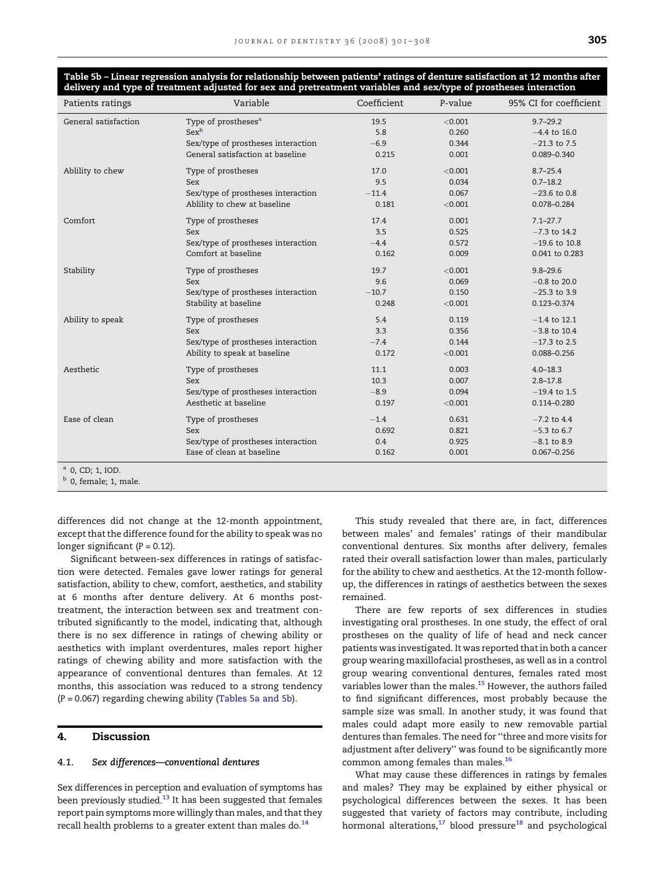Table 5b – Linear regression analysis for relationship between patients' ratings of denture satisfaction at 12 months after

| delivery and type of treatment adjusted for sex and pretreatment variables and sex/type of prostheses interaction |                                    |             |         |                        |
|-------------------------------------------------------------------------------------------------------------------|------------------------------------|-------------|---------|------------------------|
| Patients ratings                                                                                                  | Variable                           | Coefficient | P-value | 95% CI for coefficient |
| General satisfaction                                                                                              | Type of prostheses <sup>a</sup>    | 19.5        | < 0.001 | $9.7 - 29.2$           |
|                                                                                                                   | $Sex^b$                            | 5.8         | 0.260   | $-4.4$ to 16.0         |
|                                                                                                                   | Sex/type of prostheses interaction | $-6.9$      | 0.344   | $-21.3$ to 7.5         |
|                                                                                                                   | General satisfaction at baseline   | 0.215       | 0.001   | 0.089-0.340            |
| Ablility to chew                                                                                                  | Type of prostheses                 | 17.0        | < 0.001 | $8.7 - 25.4$           |
|                                                                                                                   | <b>Sex</b>                         | 9.5         | 0.034   | $0.7 - 18.2$           |
|                                                                                                                   | Sex/type of prostheses interaction | $-11.4$     | 0.067   | $-23.6$ to 0.8         |
|                                                                                                                   | Ablility to chew at baseline       | 0.181       | < 0.001 | 0.078-0.284            |
| Comfort                                                                                                           | Type of prostheses                 | 17.4        | 0.001   | $7.1 - 27.7$           |
|                                                                                                                   | Sex                                | 3.5         | 0.525   | $-7.3$ to 14.2         |
|                                                                                                                   | Sex/type of prostheses interaction | $-4.4$      | 0.572   | $-19.6$ to 10.8        |
|                                                                                                                   | Comfort at baseline                | 0.162       | 0.009   | 0.041 to 0.283         |
| Stability                                                                                                         | Type of prostheses                 | 19.7        | < 0.001 | $9.8 - 29.6$           |
|                                                                                                                   | Sex                                | 9.6         | 0.069   | $-0.8$ to 20.0         |
|                                                                                                                   | Sex/type of prostheses interaction | $-10.7$     | 0.150   | $-25.3$ to 3.9         |
|                                                                                                                   | Stability at baseline              | 0.248       | < 0.001 | $0.123 - 0.374$        |
| Ability to speak                                                                                                  | Type of prostheses                 | 5.4         | 0.119   | $-1.4$ to 12.1         |
|                                                                                                                   | Sex                                | 3.3         | 0.356   | $-3.8$ to 10.4         |
|                                                                                                                   | Sex/type of prostheses interaction | $-7.4$      | 0.144   | $-17.3$ to 2.5         |
|                                                                                                                   | Ability to speak at baseline       | 0.172       | < 0.001 | 0.088-0.256            |
| Aesthetic                                                                                                         | Type of prostheses                 | 11.1        | 0.003   | $4.0 - 18.3$           |
|                                                                                                                   | Sex                                | 10.3        | 0.007   | $2.8 - 17.8$           |
|                                                                                                                   | Sex/type of prostheses interaction | $-8.9$      | 0.094   | $-19.4$ to 1.5         |
|                                                                                                                   | Aesthetic at baseline              | 0.197       | < 0.001 | 0.114-0.280            |
| Ease of clean                                                                                                     | Type of prostheses                 | $-1.4$      | 0.631   | $-7.2$ to 4.4          |
|                                                                                                                   | Sex                                | 0.692       | 0.821   | $-5.3$ to 6.7          |
|                                                                                                                   | Sex/type of prostheses interaction | 0.4         | 0.925   | $-8.1$ to 8.9          |
|                                                                                                                   | Ease of clean at baseline          | 0.162       | 0.001   | $0.067 - 0.256$        |
| <sup>a</sup> 0, CD; 1, IOD.                                                                                       |                                    |             |         |                        |

<sup>b</sup> 0, female; 1, male.

differences did not change at the 12-month appointment, except that the difference found for the ability to speak was no longer significant  $(P = 0.12)$ .

Significant between-sex differences in ratings of satisfaction were detected. Females gave lower ratings for general satisfaction, ability to chew, comfort, aesthetics, and stability at 6 months after denture delivery. At 6 months posttreatment, the interaction between sex and treatment contributed significantly to the model, indicating that, although there is no sex difference in ratings of chewing ability or aesthetics with implant overdentures, males report higher ratings of chewing ability and more satisfaction with the appearance of conventional dentures than females. At 12 months, this association was reduced to a strong tendency  $(P = 0.067)$  regarding chewing ability [\(Tables 5a and 5b\)](#page-3-0).

# 4. Discussion

#### 4.1. Sex differences—conventional dentures

Sex differences in perception and evaluation of symptoms has been previously studied. $13$  It has been suggested that females report pain symptoms more willingly than males, and that they recall health problems to a greater extent than males do. $^{14}$  $^{14}$  $^{14}$ 

This study revealed that there are, in fact, differences between males' and females' ratings of their mandibular conventional dentures. Six months after delivery, females rated their overall satisfaction lower than males, particularly for the ability to chew and aesthetics. At the 12-month followup, the differences in ratings of aesthetics between the sexes remained.

There are few reports of sex differences in studies investigating oral prostheses. In one study, the effect of oral prostheses on the quality of life of head and neck cancer patients was investigated. It was reported that in both a cancer group wearing maxillofacial prostheses, as well as in a control group wearing conventional dentures, females rated most variables lower than the males.<sup>15</sup> However, the authors failed to find significant differences, most probably because the sample size was small. In another study, it was found that males could adapt more easily to new removable partial dentures than females. The need for ''three and more visits for adjustment after delivery'' was found to be significantly more common among females than males.<sup>[16](#page-6-0)</sup>

What may cause these differences in ratings by females and males? They may be explained by either physical or psychological differences between the sexes. It has been suggested that variety of factors may contribute, including hormonal alterations, $17$  blood pressure<sup>[18](#page-6-0)</sup> and psychological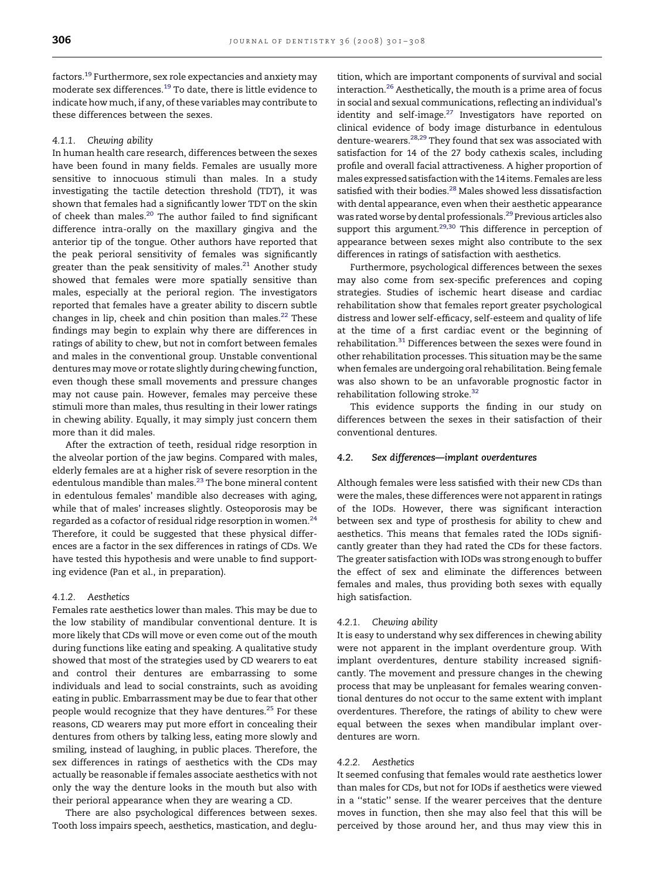factors[.19](#page-6-0) Furthermore, sex role expectancies and anxiety may moderate sex differences.[19](#page-6-0) To date, there is little evidence to indicate how much, if any, of these variables may contribute to these differences between the sexes.

#### 4.1.1. Chewing ability

In human health care research, differences between the sexes have been found in many fields. Females are usually more sensitive to innocuous stimuli than males. In a study investigating the tactile detection threshold (TDT), it was shown that females had a significantly lower TDT on the skin of cheek than males.<sup>20</sup> The author failed to find significant difference intra-orally on the maxillary gingiva and the anterior tip of the tongue. Other authors have reported that the peak perioral sensitivity of females was significantly greater than the peak sensitivity of males. $^{21}$  Another study showed that females were more spatially sensitive than males, especially at the perioral region. The investigators reported that females have a greater ability to discern subtle changes in lip, cheek and chin position than males. $^{22}$  These findings may begin to explain why there are differences in ratings of ability to chew, but not in comfort between females and males in the conventional group. Unstable conventional dentures may move or rotate slightly during chewing function, even though these small movements and pressure changes may not cause pain. However, females may perceive these stimuli more than males, thus resulting in their lower ratings in chewing ability. Equally, it may simply just concern them more than it did males.

After the extraction of teeth, residual ridge resorption in the alveolar portion of the jaw begins. Compared with males, elderly females are at a higher risk of severe resorption in the edentulous mandible than males.<sup>23</sup> The bone mineral content in edentulous females' mandible also decreases with aging, while that of males' increases slightly. Osteoporosis may be regarded as a cofactor of residual ridge resorption in women.<sup>[24](#page-6-0)</sup> Therefore, it could be suggested that these physical differences are a factor in the sex differences in ratings of CDs. We have tested this hypothesis and were unable to find supporting evidence (Pan et al., in preparation).

# 4.1.2. Aesthetics

Females rate aesthetics lower than males. This may be due to the low stability of mandibular conventional denture. It is more likely that CDs will move or even come out of the mouth during functions like eating and speaking. A qualitative study showed that most of the strategies used by CD wearers to eat and control their dentures are embarrassing to some individuals and lead to social constraints, such as avoiding eating in public. Embarrassment may be due to fear that other people would recognize that they have dentures.<sup>[25](#page-6-0)</sup> For these reasons, CD wearers may put more effort in concealing their dentures from others by talking less, eating more slowly and smiling, instead of laughing, in public places. Therefore, the sex differences in ratings of aesthetics with the CDs may actually be reasonable if females associate aesthetics with not only the way the denture looks in the mouth but also with their perioral appearance when they are wearing a CD.

There are also psychological differences between sexes. Tooth loss impairs speech, aesthetics, mastication, and deglutition, which are important components of survival and social interaction.[26](#page-6-0) Aesthetically, the mouth is a prime area of focus in social and sexual communications, reflecting an individual's identity and self-image. $^{27}$  $^{27}$  $^{27}$  Investigators have reported on clinical evidence of body image disturbance in edentulous denture-wearers[.28,29](#page-7-0) They found that sex was associated with satisfaction for 14 of the 27 body cathexis scales, including profile and overall facial attractiveness. A higher proportion of males expressed satisfaction with the 14 items. Females are less satisfied with their bodies.<sup>[28](#page-7-0)</sup> Males showed less dissatisfaction with dental appearance, even when their aesthetic appearance was rated worse by dental professionals.[29](#page-7-0) Previous articles also support this argument.<sup>[29,30](#page-7-0)</sup> This difference in perception of appearance between sexes might also contribute to the sex differences in ratings of satisfaction with aesthetics.

Furthermore, psychological differences between the sexes may also come from sex-specific preferences and coping strategies. Studies of ischemic heart disease and cardiac rehabilitation show that females report greater psychological distress and lower self-efficacy, self-esteem and quality of life at the time of a first cardiac event or the beginning of rehabilitation[.31](#page-7-0) Differences between the sexes were found in other rehabilitation processes. This situation may be the same when females are undergoing oral rehabilitation. Being female was also shown to be an unfavorable prognostic factor in rehabilitation following stroke.  $^{\rm 32}$  $^{\rm 32}$  $^{\rm 32}$ 

This evidence supports the finding in our study on differences between the sexes in their satisfaction of their conventional dentures.

#### 4.2. Sex differences—implant overdentures

Although females were less satisfied with their new CDs than were the males, these differences were not apparent in ratings of the IODs. However, there was significant interaction between sex and type of prosthesis for ability to chew and aesthetics. This means that females rated the IODs significantly greater than they had rated the CDs for these factors. The greater satisfaction with IODs was strong enough to buffer the effect of sex and eliminate the differences between females and males, thus providing both sexes with equally high satisfaction.

#### 4.2.1. Chewing ability

It is easy to understand why sex differences in chewing ability were not apparent in the implant overdenture group. With implant overdentures, denture stability increased significantly. The movement and pressure changes in the chewing process that may be unpleasant for females wearing conventional dentures do not occur to the same extent with implant overdentures. Therefore, the ratings of ability to chew were equal between the sexes when mandibular implant overdentures are worn.

#### 4.2.2. Aesthetics

It seemed confusing that females would rate aesthetics lower than males for CDs, but not for IODs if aesthetics were viewed in a ''static'' sense. If the wearer perceives that the denture moves in function, then she may also feel that this will be perceived by those around her, and thus may view this in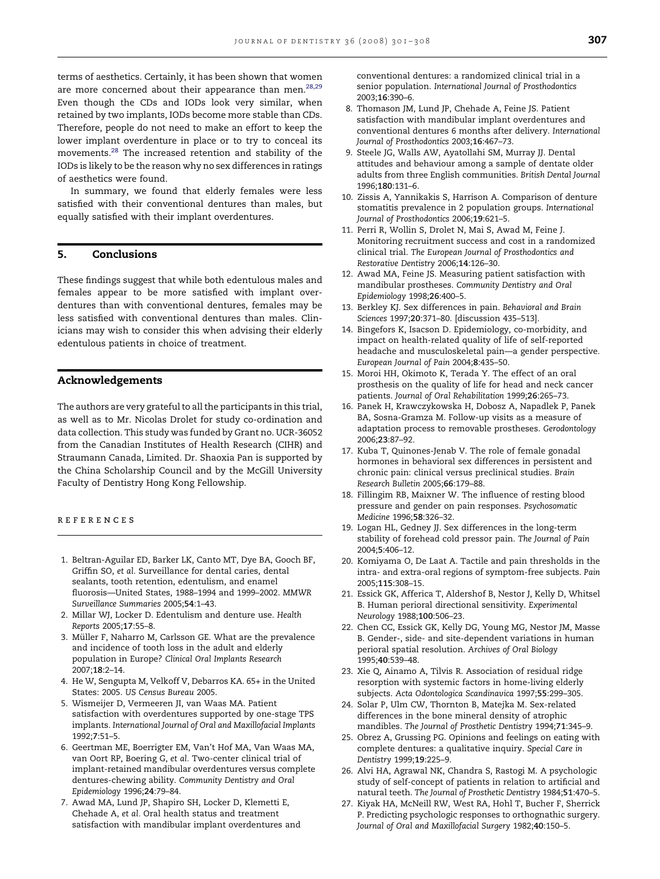<span id="page-6-0"></span>terms of aesthetics. Certainly, it has been shown that women are more concerned about their appearance than men.<sup>28,29</sup> Even though the CDs and IODs look very similar, when retained by two implants, IODs become more stable than CDs. Therefore, people do not need to make an effort to keep the lower implant overdenture in place or to try to conceal its movements.[28](#page-7-0) The increased retention and stability of the IODs is likely to be the reason why no sex differences in ratings of aesthetics were found.

In summary, we found that elderly females were less satisfied with their conventional dentures than males, but equally satisfied with their implant overdentures.

# 5. Conclusions

These findings suggest that while both edentulous males and females appear to be more satisfied with implant overdentures than with conventional dentures, females may be less satisfied with conventional dentures than males. Clinicians may wish to consider this when advising their elderly edentulous patients in choice of treatment.

### Acknowledgements

The authors are very grateful to all the participants in this trial, as well as to Mr. Nicolas Drolet for study co-ordination and data collection. This study was funded by Grant no. UCR-36052 from the Canadian Institutes of Health Research (CIHR) and Straumann Canada, Limited. Dr. Shaoxia Pan is supported by the China Scholarship Council and by the McGill University Faculty of Dentistry Hong Kong Fellowship.

#### references

- 1. Beltran-Aguilar ED, Barker LK, Canto MT, Dye BA, Gooch BF, Griffin SO, et al. Surveillance for dental caries, dental sealants, tooth retention, edentulism, and enamel fluorosis—United States, 1988–1994 and 1999–2002. MMWR Surveillance Summaries 2005;54:1–43.
- 2. Millar WJ, Locker D. Edentulism and denture use. Health Reports 2005;17:55–8.
- 3. Müller F, Naharro M, Carlsson GE. What are the prevalence and incidence of tooth loss in the adult and elderly population in Europe? Clinical Oral Implants Research 2007;18:2–14.
- 4. He W, Sengupta M, Velkoff V, Debarros KA. 65+ in the United States: 2005. US Census Bureau 2005.
- 5. Wismeijer D, Vermeeren JI, van Waas MA. Patient satisfaction with overdentures supported by one-stage TPS implants. International Journal of Oral and Maxillofacial Implants 1992;7:51–5.
- 6. Geertman ME, Boerrigter EM, Van't Hof MA, Van Waas MA, van Oort RP, Boering G, et al. Two-center clinical trial of implant-retained mandibular overdentures versus complete dentures-chewing ability. Community Dentistry and Oral Epidemiology 1996;24:79–84.
- 7. Awad MA, Lund JP, Shapiro SH, Locker D, Klemetti E, Chehade A, et al. Oral health status and treatment satisfaction with mandibular implant overdentures and

conventional dentures: a randomized clinical trial in a senior population. International Journal of Prosthodontics 2003;16:390–6.

- 8. Thomason JM, Lund JP, Chehade A, Feine JS. Patient satisfaction with mandibular implant overdentures and conventional dentures 6 months after delivery. International Journal of Prosthodontics 2003;16:467–73.
- 9. Steele JG, Walls AW, Ayatollahi SM, Murray JJ. Dental attitudes and behaviour among a sample of dentate older adults from three English communities. British Dental Journal 1996;180:131–6.
- 10. Zissis A, Yannikakis S, Harrison A. Comparison of denture stomatitis prevalence in 2 population groups. International Journal of Prosthodontics 2006;19:621–5.
- 11. Perri R, Wollin S, Drolet N, Mai S, Awad M, Feine J. Monitoring recruitment success and cost in a randomized clinical trial. The European Journal of Prosthodontics and Restorative Dentistry 2006;14:126–30.
- 12. Awad MA, Feine JS. Measuring patient satisfaction with mandibular prostheses. Community Dentistry and Oral Epidemiology 1998;26:400–5.
- 13. Berkley KJ. Sex differences in pain. Behavioral and Brain Sciences 1997;20:371–80. [discussion 435–513].
- 14. Bingefors K, Isacson D. Epidemiology, co-morbidity, and impact on health-related quality of life of self-reported headache and musculoskeletal pain—a gender perspective. European Journal of Pain 2004;8:435–50.
- 15. Moroi HH, Okimoto K, Terada Y. The effect of an oral prosthesis on the quality of life for head and neck cancer patients. Journal of Oral Rehabilitation 1999;26:265–73.
- 16. Panek H, Krawczykowska H, Dobosz A, Napadlek P, Panek BA, Sosna-Gramza M. Follow-up visits as a measure of adaptation process to removable prostheses. Gerodontology 2006;23:87–92.
- 17. Kuba T, Quinones-Jenab V. The role of female gonadal hormones in behavioral sex differences in persistent and chronic pain: clinical versus preclinical studies. Brain Research Bulletin 2005;66:179–88.
- 18. Fillingim RB, Maixner W. The influence of resting blood pressure and gender on pain responses. Psychosomatic Medicine 1996;58:326–32.
- 19. Logan HL, Gedney JJ. Sex differences in the long-term stability of forehead cold pressor pain. The Journal of Pain 2004;5:406–12.
- 20. Komiyama O, De Laat A. Tactile and pain thresholds in the intra- and extra-oral regions of symptom-free subjects. Pain 2005;115:308–15.
- 21. Essick GK, Afferica T, Aldershof B, Nestor J, Kelly D, Whitsel B. Human perioral directional sensitivity. Experimental Neurology 1988;100:506–23.
- 22. Chen CC, Essick GK, Kelly DG, Young MG, Nestor JM, Masse B. Gender-, side- and site-dependent variations in human perioral spatial resolution. Archives of Oral Biology 1995;40:539–48.
- 23. Xie Q, Ainamo A, Tilvis R. Association of residual ridge resorption with systemic factors in home-living elderly subjects. Acta Odontologica Scandinavica 1997;55:299–305.
- 24. Solar P, Ulm CW, Thornton B, Matejka M. Sex-related differences in the bone mineral density of atrophic mandibles. The Journal of Prosthetic Dentistry 1994;71:345–9.
- 25. Obrez A, Grussing PG. Opinions and feelings on eating with complete dentures: a qualitative inquiry. Special Care in Dentistry 1999;19:225–9.
- 26. Alvi HA, Agrawal NK, Chandra S, Rastogi M. A psychologic study of self-concept of patients in relation to artificial and natural teeth. The Journal of Prosthetic Dentistry 1984;51:470–5.
- 27. Kiyak HA, McNeill RW, West RA, Hohl T, Bucher F, Sherrick P. Predicting psychologic responses to orthognathic surgery. Journal of Oral and Maxillofacial Surgery 1982;40:150–5.